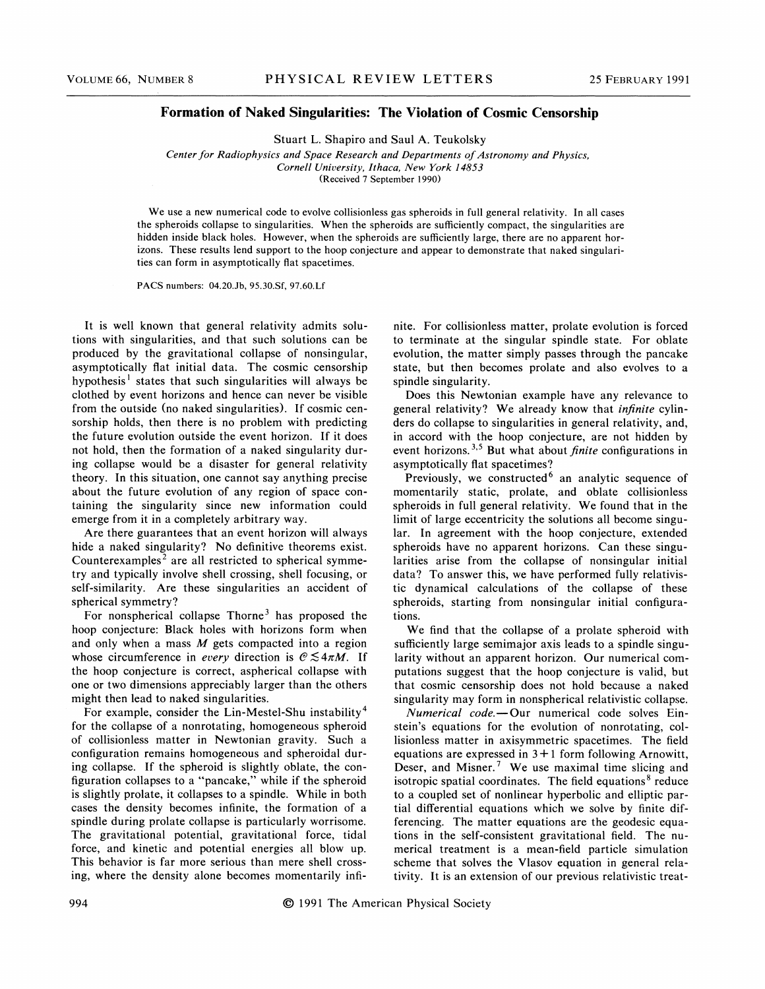## Formation of Naked Singularities: The Violation of Cosmic Censorship

Stuart L. Shapiro and Saul A. Teukolsky

Center for Radiophysics and Space Research and Departments of Astronomy and Physics, Cornell University, Ithaca, New York 14853 (Received 7 September 1990)

We use a new numerical code to evolve collisionless gas spheroids in full general relativity. In all cases the spheroids collapse to singularities. When the spheroids are sufficiently compact, the singularities are hidden inside black holes. However, when the spheroids are sufficiently large, there are no apparent horizons. These results lend support to the hoop conjecture and appear to demonstrate that naked singularities can form in asymptotically flat spacetimes.

PACS numbers: 04.20.Jb, 95.30.Sf, 97.60.Lf

It is well known that general relativity admits solutions with singularities, and that such solutions can be produced by the gravitational collapse of nonsingular, asymptotically flat initial data. The cosmic censorship hypothesis<sup>1</sup> states that such singularities will always be clothed by event horizons and hence can never be visible from the outside (no naked singularities). If cosmic censorship holds, then there is no problem with predicting the future evolution outside the event horizon. If it does not hold, then the formation of a naked singularity during collapse would be a disaster for general relativity theory. In this situation, one cannot say anything precise about the future evolution of any region of space containing the singularity since new information could emerge from it in a completely arbitrary way.

Are there guarantees that an event horizon will always hide a naked singularity? No definitive theorems exist. Counterexamples<sup>2</sup> are all restricted to spherical symmetry and typically involve shell crossing, shell focusing, or self-similarity. Are these singularities an accident of spherical symmetry?

For nonspherical collapse Thorne<sup>3</sup> has proposed the hoop conjecture: Black holes with horizons form when and only when a mass  $M$  gets compacted into a region whose circumference in every direction is  $\mathcal{C} \lesssim 4\pi M$ . If the hoop conjecture is correct, aspherical collapse with one or two dimensions appreciably larger than the others might then lead to naked singularities.

For example, consider the Lin-Mestel-Shu instability<sup>4</sup> for the collapse of a nonrotating, homogeneous spheroid of collisionless matter in Newtonian gravity. Such a configuration remains homogeneous and spheroidal during collapse. If the spheroid is slightly oblate, the configuration collapses to a "pancake," while if the spheroid is slightly prolate, it collapses to a spindle. While in both cases the density becomes infinite, the formation of a spindle during prolate collapse is particularly worrisome. The gravitational potential, gravitational force, tidal force, and kinetic and potential energies all blow up. This behavior is far more serious than mere shell crossing, where the density alone becomes momentarily infinite. For collisionless matter, prolate evolution is forced to terminate at the singular spindle state. For oblate evolution, the matter simply passes through the pancake state, but then becomes prolate and also evolves to a spindle singularity.

Does this Newtonian example have any relevance to general relativity? We already know that *infinite* cylinders do collapse to singularities in general relativity, and, in accord with the hoop conjecture, are not hidden by event horizons.<sup>3,5</sup> But what about *finite* configurations in asymptotically flat spacetimes?

Previously, we constructed  $6$  an analytic sequence of momentarily static, prolate, and oblate collisionless spheroids in full general relativity. We found that in the limit of large eccentricity the solutions all become singular. In agreement with the hoop conjecture, extended spheroids have no apparent horizons. Can these singularities arise from the collapse of nonsingular initial data? To answer this, we have performed fully relativistic dynamical calculations of the collapse of these spheroids, starting from nonsingular initial configurations.

We find that the collapse of a prolate spheroid with sufficiently large semimajor axis leads to a spindle singularity without an apparent horizon. Our numerical computations suggest that the hoop conjecture is valid, but that cosmic censorship does not hold because a naked singularity may form in nonspherical relativistic collapse.

Numerical code.-Our numerical code solves Einstein's equations for the evolution of nonrotating, collisionless matter in axisymmetric spacetimes. The field equations are expressed in  $3+1$  form following Arnowitt, Deser, and Misner.<sup>7</sup> We use maximal time slicing and isotropic spatial coordinates. The field equations $8$  reduce to a coupled set of nonlinear hyperbolic and elliptic partial differential equations which we solve by finite differencing. The matter equations are the geodesic equations in the self-consistent gravitational field. The numerical treatment is a mean-field particle simulation scheme that solves the Vlasov equation in general relativity. It is an extension of our previous relativistic treat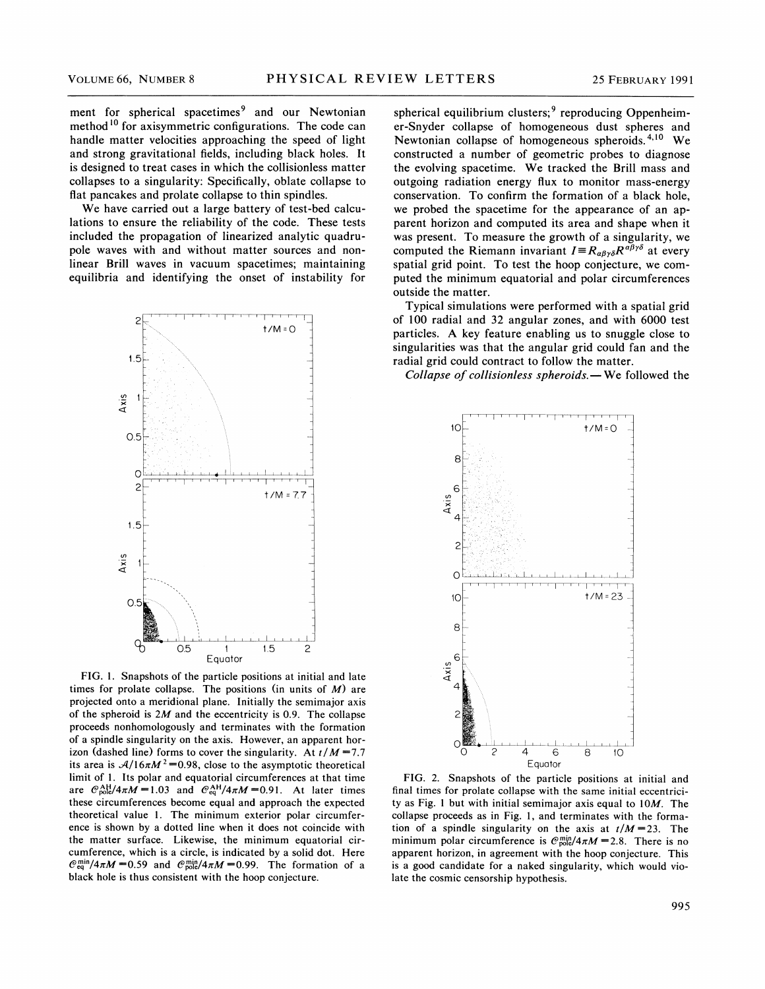ment for spherical spacetimes<sup>9</sup> and our Newtonian method <sup>10</sup> for axisymmetric configurations. The code can handle matter velocities approaching the speed of light and strong gravitational fields, including black holes. It is designed to treat cases in which the collisionless matter collapses to a singularity: Specifically, oblate collapse to flat pancakes and prolate collapse to thin spindles.

We have carried out a large battery of test-bed calculations to ensure the reliability of the code. These tests included the propagation of Iinearized analytic quadrupole waves with and without matter sources and nonlinear Brill waves in vacuum spacetimes; maintaining equilibria and identifying the onset of instability for



FIG. 1. Snapshots of the particle positions at initial and late times for prolate collapse. The positions (in units of  $M$ ) are projected onto a meridional plane. Initially the semimajor axis of the spheroid is  $2M$  and the eccentricity is 0.9. The collapse proceeds nonhomologously and terminates with the formation of a spindle singularity on the axis. However, an apparent horizon (dashed line) forms to cover the singularity. At  $t/M = 7.7$ its area is  $A/16\pi M^2$  =0.98, close to the asymptotic theoretical limit of 1. Its polar and equatorial circumferences at that time are  $\mathcal{C}_{pol}^{AH}/4\pi M = 1.03$  and  $\mathcal{C}_{eq}^{AH}/4\pi M = 0.91$ . At later times these circumferences become equal and approach the expected theoretical value 1. The minimum exterior polar circumference is shown by a dotted line when it does not coincide with the matter surface. Likewise, the minimum equatorial circumference, which is a circle, is indicated by a solid dot. Here  $C_{eq}^{min}/4\pi M = 0.59$  and  $C_{pole}^{min}/4\pi M = 0.99$ . The formation of a black hole is thus consistent with the hoop conjecture.

spherical equilibrium clusters;  $9$  reproducing Oppenheimer-Snyder collapse of homogeneous dust spheres and 'Newtonian collapse of homogeneous spheroids.<sup>4,10</sup> We constructed a number of geometric probes to diagnose the evolving spacetime. We tracked the Brill mass and outgoing radiation energy flux to monitor mass-energy conservation. To confirm the formation of a black hole, we probed the spacetime for the appearance of an apparent horizon and computed its area and shape when it was present. To measure the growth of a singularity, we computed the Riemann invariant  $I = R_{\alpha\beta\gamma\delta}R^{\alpha\beta\gamma\delta}$  at every spatial grid point. To test the hoop conjecture, we computed the minimum equatorial and polar circumferences outside the matter.

Typical simulations were performed with a spatial grid of 100 radial and 32 angular zones, and with 6000 test particles. A key feature enabling us to snuggle close to singularities was that the angular grid could fan and the radial grid could contract to follow the matter.

Collapse of collisionless spheroids.—We followed the



FIG. 2. Snapshots of the particle positions at initial and final times for prolate collapse with the same initial eccentricity as Fig. <sup>1</sup> but with initial semimajor axis equal to 10M. The collapse proceeds as in Fig. 1, and terminates with the formation of a spindle singularity on the axis at  $t/M=23$ . The minimum polar circumference is  $\mathcal{C}_{\text{pole}}^{\text{min}}/4\pi M=2.8$ . There is no apparent horizon, in agreement with the hoop conjecture. This is a good candidate for a naked singularity, which would violate the cosmic censorship hypothesis.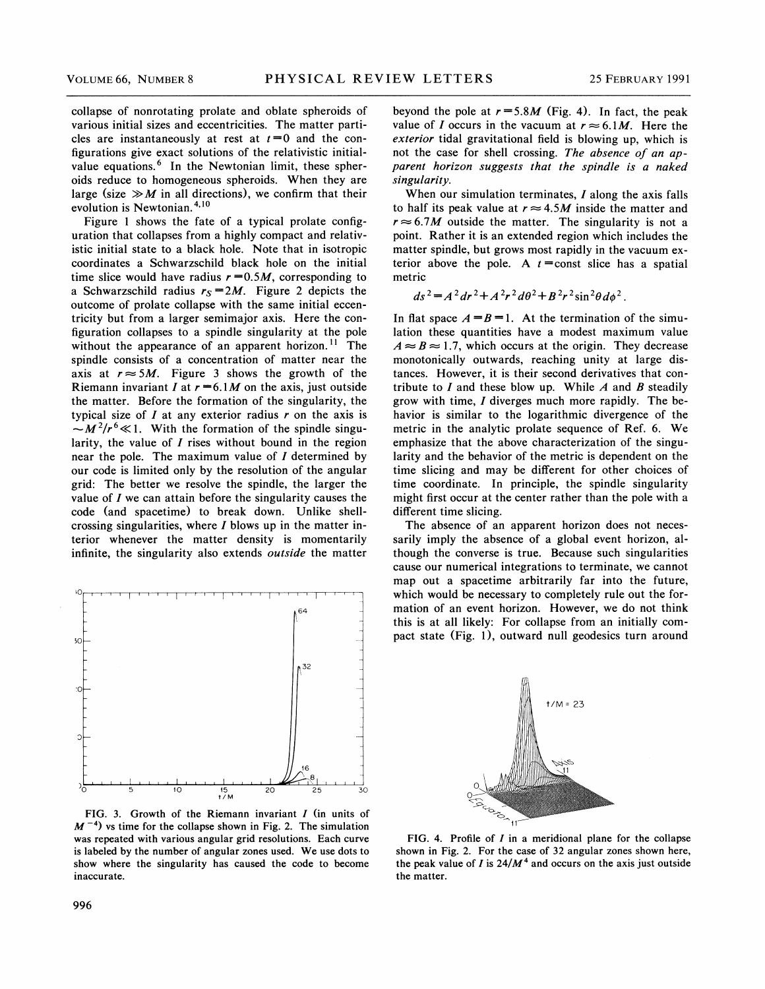collapse of nonrotating prolate and oblate spheroids of various initial sizes and eccentricities. The matter particles are instantaneously at rest at  $t=0$  and the configurations give exact solutions of the relativistic initialvalue equations.<sup>6</sup> In the Newtonian limit, these spheroids reduce to homogeneous spheroids. When they are large (size  $\gg M$  in all directions), we confirm that their evolution is Newtonian.<sup>4,1</sup>

Figure <sup>1</sup> shows the fate of a typical prolate configuration that collapses from a highly compact and relativistic initial state to a black hole. Note that in isotropic coordinates a Schwarzschild black hole on the initial time slice would have radius  $r = 0.5M$ , corresponding to a Schwarzschild radius  $r_s = 2M$ . Figure 2 depicts the outcome of prolate collapse with the same initial eccentricity but from a larger semimajor axis. Here the configuration collapses to a spindle singularity at the pole figuration collapses to a spindle singularity at the pole without the appearance of an apparent horizon.<sup>11</sup> The spindle consists of a concentration of matter near the axis at  $r \approx 5M$ . Figure 3 shows the growth of the Riemann invariant I at  $r = 6.1M$  on the axis, just outside the matter. Before the formation of the singularity, the typical size of  $I$  at any exterior radius  $r$  on the axis is  $-M^{2}/r^{6} \ll 1$ . With the formation of the spindle singularity, the value of  $I$  rises without bound in the region near the pole. The maximum value of  $I$  determined by our code is limited only by the resolution of the angular grid: The better we resolve the spindle, the larger the value of I we can attain before the singularity causes the code (and spacetime) to break down. Unlike shellcrossing singularities, where I blows up in the matter interior whenever the matter density is momentarily infinite, the singularity also extends *outside* the matter



FIG. 3. Growth of the Riemann invariant I (in units of  $M^{-4}$ ) vs time for the collapse shown in Fig. 2. The simulation was repeated with various angular grid resolutions. Each curve is labeled by the number of angular zones used. We use dots to show where the singularity has caused the code to become inaccurate.

beyond the pole at  $r = 5.8M$  (Fig. 4). In fact, the peak value of I occurs in the vacuum at  $r \approx 6.1M$ . Here the exterior tidal gravitational field is blowing up, which is not the case for shell crossing. The absence of an apparent horizon suggests that the spindle is a naked singularity.

When our simulation terminates, I along the axis falls to half its peak value at  $r \approx 4.5M$  inside the matter and  $r \approx 6.7M$  outside the matter. The singularity is not a point. Rather it is an extended region which includes the matter spindle, but grows most rapidly in the vacuum exterior above the pole. A  $t = const$  slice has a spatial metric

$$
ds^{2} = A^{2} dr^{2} + A^{2} r^{2} d\theta^{2} + B^{2} r^{2} \sin^{2} \theta d\phi^{2}
$$

In flat space  $A = B = 1$ . At the termination of the simulation these quantities have a modest maximum value  $A \approx B \approx 1.7$ , which occurs at the origin. They decrease monotonically outwards, reaching unity at large distances. However, it is their second derivatives that contribute to  $I$  and these blow up. While  $A$  and  $B$  steadily grow with time, I diverges much more rapidly. The behavior is similar to the logarithmic divergence of the metric in the analytic prolate sequence of Ref. 6. We emphasize that the above characterization of the singularity and the behavior of the metric is dependent on the time slicing and may be different for other choices of time coordinate. In principle, the spindle singularity might first occur at the center rather than the pole with a different time slicing.

The absence of an apparent horizon does not necessarily imply the absence of a global event horizon, although the converse is true. Because such singularities cause our numerical integrations to terminate, we cannot map out a spacetime arbitrarily far into the future, which would be necessary to completely rule out the formation of an event horizon. However, we do not think this is at all likely: For collapse from an initially compact state (Fig. 1), outward null geodesics turn around



FIG. 4. Profile of I in <sup>a</sup> meridional plane for the collapse shown in Fig. 2. For the case of 32 angular zones shown here, the peak value of I is  $24/M^4$  and occurs on the axis just outside the matter.